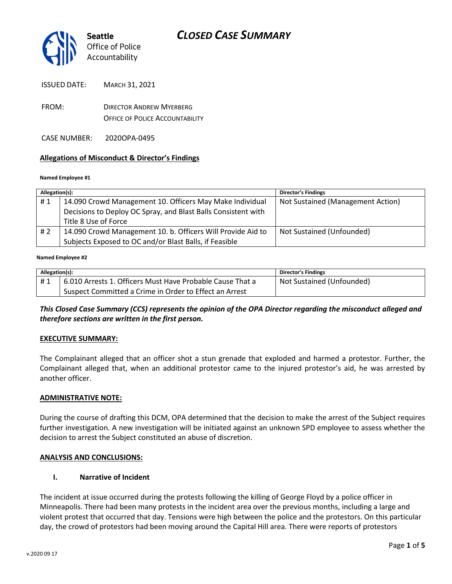

ISSUED DATE: MARCH 31, 2021

- FROM: DIRECTOR ANDREW MYERBERG OFFICE OF POLICE ACCOUNTABILITY
- CASE NUMBER: 2020OPA-0495

## **Allegations of Misconduct & Director's Findings**

#### **Named Employee #1**

| Allegation(s): |                                                               | <b>Director's Findings</b>        |
|----------------|---------------------------------------------------------------|-----------------------------------|
| #1             | 14.090 Crowd Management 10. Officers May Make Individual      | Not Sustained (Management Action) |
|                | Decisions to Deploy OC Spray, and Blast Balls Consistent with |                                   |
|                | Title 8 Use of Force                                          |                                   |
| #2             | 14.090 Crowd Management 10. b. Officers Will Provide Aid to   | Not Sustained (Unfounded)         |
|                | Subjects Exposed to OC and/or Blast Balls, if Feasible        |                                   |
|                |                                                               |                                   |

#### **Named Employee #2**

| Allegation(s): |                                                           | <b>Director's Findings</b> |
|----------------|-----------------------------------------------------------|----------------------------|
| #1             | 6.010 Arrests 1. Officers Must Have Probable Cause That a | Not Sustained (Unfounded)  |
|                | Suspect Committed a Crime in Order to Effect an Arrest    |                            |

*This Closed Case Summary (CCS) represents the opinion of the OPA Director regarding the misconduct alleged and therefore sections are written in the first person.* 

## **EXECUTIVE SUMMARY:**

The Complainant alleged that an officer shot a stun grenade that exploded and harmed a protestor. Further, the Complainant alleged that, when an additional protestor came to the injured protestor's aid, he was arrested by another officer.

## **ADMINISTRATIVE NOTE:**

During the course of drafting this DCM, OPA determined that the decision to make the arrest of the Subject requires further investigation. A new investigation will be initiated against an unknown SPD employee to assess whether the decision to arrest the Subject constituted an abuse of discretion.

## **ANALYSIS AND CONCLUSIONS:**

## **I. Narrative of Incident**

The incident at issue occurred during the protests following the killing of George Floyd by a police officer in Minneapolis. There had been many protests in the incident area over the previous months, including a large and violent protest that occurred that day. Tensions were high between the police and the protestors. On this particular day, the crowd of protestors had been moving around the Capital Hill area. There were reports of protestors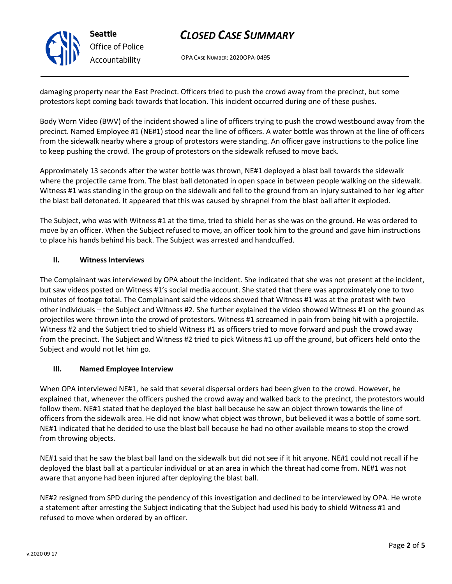# *CLOSED CASE SUMMARY*

OPA CASE NUMBER: 2020OPA-0495

damaging property near the East Precinct. Officers tried to push the crowd away from the precinct, but some protestors kept coming back towards that location. This incident occurred during one of these pushes.

Body Worn Video (BWV) of the incident showed a line of officers trying to push the crowd westbound away from the precinct. Named Employee #1 (NE#1) stood near the line of officers. A water bottle was thrown at the line of officers from the sidewalk nearby where a group of protestors were standing. An officer gave instructions to the police line to keep pushing the crowd. The group of protestors on the sidewalk refused to move back.

Approximately 13 seconds after the water bottle was thrown, NE#1 deployed a blast ball towards the sidewalk where the projectile came from. The blast ball detonated in open space in between people walking on the sidewalk. Witness #1 was standing in the group on the sidewalk and fell to the ground from an injury sustained to her leg after the blast ball detonated. It appeared that this was caused by shrapnel from the blast ball after it exploded.

The Subject, who was with Witness #1 at the time, tried to shield her as she was on the ground. He was ordered to move by an officer. When the Subject refused to move, an officer took him to the ground and gave him instructions to place his hands behind his back. The Subject was arrested and handcuffed.

# **II. Witness Interviews**

The Complainant was interviewed by OPA about the incident. She indicated that she was not present at the incident, but saw videos posted on Witness #1's social media account. She stated that there was approximately one to two minutes of footage total. The Complainant said the videos showed that Witness #1 was at the protest with two other individuals – the Subject and Witness #2. She further explained the video showed Witness #1 on the ground as projectiles were thrown into the crowd of protestors. Witness #1 screamed in pain from being hit with a projectile. Witness #2 and the Subject tried to shield Witness #1 as officers tried to move forward and push the crowd away from the precinct. The Subject and Witness #2 tried to pick Witness #1 up off the ground, but officers held onto the Subject and would not let him go.

# **III. Named Employee Interview**

When OPA interviewed NE#1, he said that several dispersal orders had been given to the crowd. However, he explained that, whenever the officers pushed the crowd away and walked back to the precinct, the protestors would follow them. NE#1 stated that he deployed the blast ball because he saw an object thrown towards the line of officers from the sidewalk area. He did not know what object was thrown, but believed it was a bottle of some sort. NE#1 indicated that he decided to use the blast ball because he had no other available means to stop the crowd from throwing objects.

NE#1 said that he saw the blast ball land on the sidewalk but did not see if it hit anyone. NE#1 could not recall if he deployed the blast ball at a particular individual or at an area in which the threat had come from. NE#1 was not aware that anyone had been injured after deploying the blast ball.

NE#2 resigned from SPD during the pendency of this investigation and declined to be interviewed by OPA. He wrote a statement after arresting the Subject indicating that the Subject had used his body to shield Witness #1 and refused to move when ordered by an officer.



**Seattle** *Office of Police Accountability*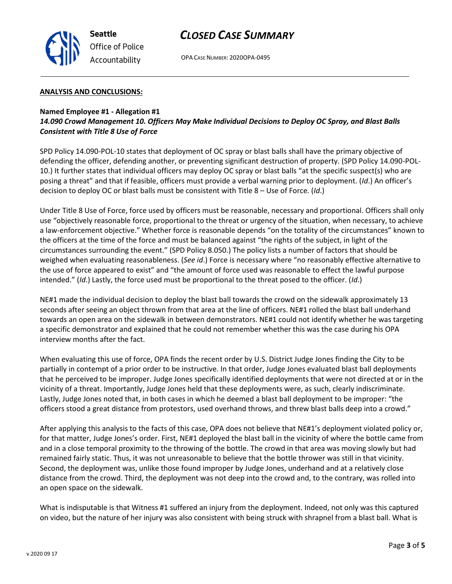

# *CLOSED CASE SUMMARY*

OPA CASE NUMBER: 2020OPA-0495

#### **ANALYSIS AND CONCLUSIONS:**

## **Named Employee #1 - Allegation #1**

*14.090 Crowd Management 10. Officers May Make Individual Decisions to Deploy OC Spray, and Blast Balls Consistent with Title 8 Use of Force*

SPD Policy 14.090-POL-10 states that deployment of OC spray or blast balls shall have the primary objective of defending the officer, defending another, or preventing significant destruction of property. (SPD Policy 14.090-POL-10.) It further states that individual officers may deploy OC spray or blast balls "at the specific suspect(s) who are posing a threat" and that if feasible, officers must provide a verbal warning prior to deployment. (*Id*.) An officer's decision to deploy OC or blast balls must be consistent with Title 8 – Use of Force. (*Id*.)

Under Title 8 Use of Force, force used by officers must be reasonable, necessary and proportional. Officers shall only use "objectively reasonable force, proportional to the threat or urgency of the situation, when necessary, to achieve a law-enforcement objective." Whether force is reasonable depends "on the totality of the circumstances" known to the officers at the time of the force and must be balanced against "the rights of the subject, in light of the circumstances surrounding the event." (SPD Policy 8.050.) The policy lists a number of factors that should be weighed when evaluating reasonableness. (*See id*.) Force is necessary where "no reasonably effective alternative to the use of force appeared to exist" and "the amount of force used was reasonable to effect the lawful purpose intended." (*Id*.) Lastly, the force used must be proportional to the threat posed to the officer. (*Id*.)

NE#1 made the individual decision to deploy the blast ball towards the crowd on the sidewalk approximately 13 seconds after seeing an object thrown from that area at the line of officers. NE#1 rolled the blast ball underhand towards an open area on the sidewalk in between demonstrators. NE#1 could not identify whether he was targeting a specific demonstrator and explained that he could not remember whether this was the case during his OPA interview months after the fact.

When evaluating this use of force, OPA finds the recent order by U.S. District Judge Jones finding the City to be partially in contempt of a prior order to be instructive. In that order, Judge Jones evaluated blast ball deployments that he perceived to be improper. Judge Jones specifically identified deployments that were not directed at or in the vicinity of a threat. Importantly, Judge Jones held that these deployments were, as such, clearly indiscriminate. Lastly, Judge Jones noted that, in both cases in which he deemed a blast ball deployment to be improper: "the officers stood a great distance from protestors, used overhand throws, and threw blast balls deep into a crowd."

After applying this analysis to the facts of this case, OPA does not believe that NE#1's deployment violated policy or, for that matter, Judge Jones's order. First, NE#1 deployed the blast ball in the vicinity of where the bottle came from and in a close temporal proximity to the throwing of the bottle. The crowd in that area was moving slowly but had remained fairly static. Thus, it was not unreasonable to believe that the bottle thrower was still in that vicinity. Second, the deployment was, unlike those found improper by Judge Jones, underhand and at a relatively close distance from the crowd. Third, the deployment was not deep into the crowd and, to the contrary, was rolled into an open space on the sidewalk.

What is indisputable is that Witness #1 suffered an injury from the deployment. Indeed, not only was this captured on video, but the nature of her injury was also consistent with being struck with shrapnel from a blast ball. What is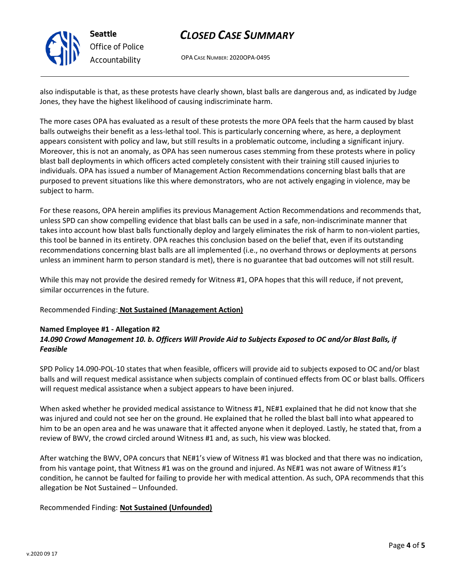

# *Office of Police Accountability*

# *CLOSED CASE SUMMARY*

OPA CASE NUMBER: 2020OPA-0495

also indisputable is that, as these protests have clearly shown, blast balls are dangerous and, as indicated by Judge Jones, they have the highest likelihood of causing indiscriminate harm.

The more cases OPA has evaluated as a result of these protests the more OPA feels that the harm caused by blast balls outweighs their benefit as a less-lethal tool. This is particularly concerning where, as here, a deployment appears consistent with policy and law, but still results in a problematic outcome, including a significant injury. Moreover, this is not an anomaly, as OPA has seen numerous cases stemming from these protests where in policy blast ball deployments in which officers acted completely consistent with their training still caused injuries to individuals. OPA has issued a number of Management Action Recommendations concerning blast balls that are purposed to prevent situations like this where demonstrators, who are not actively engaging in violence, may be subject to harm.

For these reasons, OPA herein amplifies its previous Management Action Recommendations and recommends that, unless SPD can show compelling evidence that blast balls can be used in a safe, non-indiscriminate manner that takes into account how blast balls functionally deploy and largely eliminates the risk of harm to non-violent parties, this tool be banned in its entirety. OPA reaches this conclusion based on the belief that, even if its outstanding recommendations concerning blast balls are all implemented (i.e., no overhand throws or deployments at persons unless an imminent harm to person standard is met), there is no guarantee that bad outcomes will not still result.

While this may not provide the desired remedy for Witness #1, OPA hopes that this will reduce, if not prevent, similar occurrences in the future.

Recommended Finding: **Not Sustained (Management Action)**

## **Named Employee #1 - Allegation #2** *14.090 Crowd Management 10. b. Officers Will Provide Aid to Subjects Exposed to OC and/or Blast Balls, if Feasible*

SPD Policy 14.090-POL-10 states that when feasible, officers will provide aid to subjects exposed to OC and/or blast balls and will request medical assistance when subjects complain of continued effects from OC or blast balls. Officers will request medical assistance when a subject appears to have been injured.

When asked whether he provided medical assistance to Witness #1, NE#1 explained that he did not know that she was injured and could not see her on the ground. He explained that he rolled the blast ball into what appeared to him to be an open area and he was unaware that it affected anyone when it deployed. Lastly, he stated that, from a review of BWV, the crowd circled around Witness #1 and, as such, his view was blocked.

After watching the BWV, OPA concurs that NE#1's view of Witness #1 was blocked and that there was no indication, from his vantage point, that Witness #1 was on the ground and injured. As NE#1 was not aware of Witness #1's condition, he cannot be faulted for failing to provide her with medical attention. As such, OPA recommends that this allegation be Not Sustained – Unfounded.

Recommended Finding: **Not Sustained (Unfounded)**